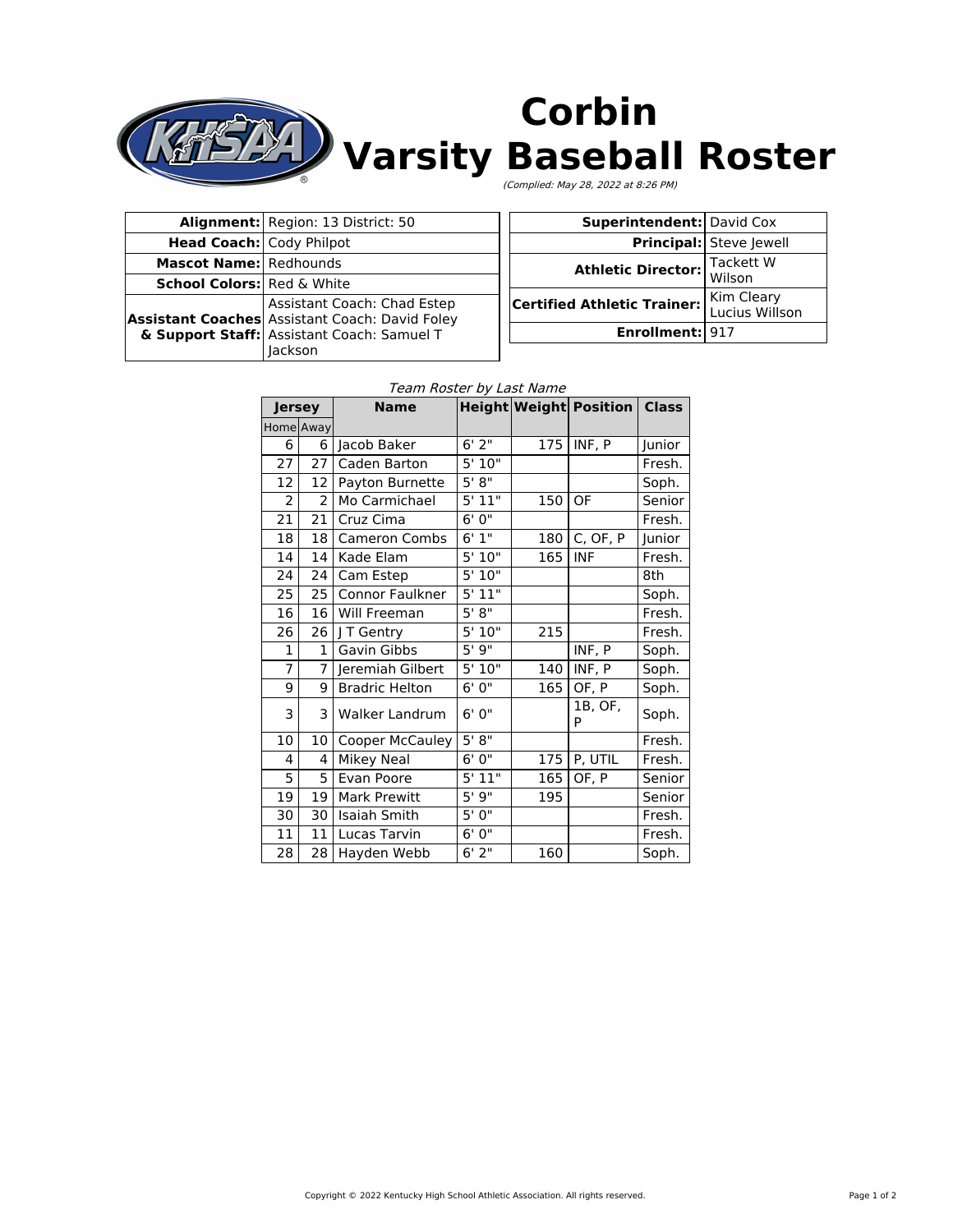

|                                 | Alignment: Region: 13 District: 50                                                                                                                       |  |  |
|---------------------------------|----------------------------------------------------------------------------------------------------------------------------------------------------------|--|--|
| <b>Head Coach: Cody Philpot</b> |                                                                                                                                                          |  |  |
| <b>Mascot Name:</b> Redhounds   |                                                                                                                                                          |  |  |
|                                 | School Colors: Red & White                                                                                                                               |  |  |
|                                 | Assistant Coaches Assistant Coach: Chad Estep<br>Assistant Coaches Assistant Coach: David Foley<br>& Support Staff: Assistant Coach: Samuel T<br>lackson |  |  |

| <b>Superintendent: David Cox</b>   |                              |
|------------------------------------|------------------------------|
|                                    | Principal: Steve Jewell      |
| <b>Athletic Director:</b>          | Tackett W<br>Wilson          |
| <b>Certified Athletic Trainer:</b> | Kim Cleary<br>Lucius Willson |
| Enrollment: 917                    |                              |

## Team Roster by Last Name

| Jersey         |                | <b>Name</b>            |                       |     | <b>Height Weight Position Class</b> |        |
|----------------|----------------|------------------------|-----------------------|-----|-------------------------------------|--------|
|                | Home Away      |                        |                       |     |                                     |        |
| 6              | 6              | Jacob Baker            | 6'2''                 | 175 | INF, P                              | Junior |
| 27             | 27             | Caden Barton           | 5'10"                 |     |                                     | Fresh. |
| 12             | 12             | Payton Burnette        | 5' 8''                |     |                                     | Soph.  |
| $\overline{2}$ | $\overline{2}$ | Mo Carmichael          | $5'$ $11"$            | 150 | OF                                  | Senior |
| 21             | 21             | Cruz Cima              | 6'0''                 |     |                                     | Fresh. |
| 18             | 18             | <b>Cameron Combs</b>   | 6'1''                 | 180 | C, OF, P                            | Junior |
| 14             | 14             | Kade Elam              | 5'10"                 | 165 | <b>INF</b>                          | Fresh. |
| 24             | 24             | Cam Estep              | 5'10"                 |     |                                     | 8th    |
| 25             | 25             | Connor Faulkner        | 5'11"                 |     |                                     | Soph.  |
| 16             | 16             | Will Freeman           | 5' 8''                |     |                                     | Fresh. |
| 26             | 26             | J T Gentry             | 5'10"                 | 215 |                                     | Fresh. |
| $\mathbf{1}$   | $\mathbf{1}$   | Gavin Gibbs            | 5'9''                 |     | INF, P                              | Soph.  |
| $\overline{7}$ | 7              | Jeremiah Gilbert       | 5'10''                | 140 | INF, P                              | Soph.  |
| 9              | 9              | <b>Bradric Helton</b>  | 6'0''                 | 165 | OF, P                               | Soph.  |
| 3              | 3              | Walker Landrum         | 6'0''                 |     | 1B, OF,<br>P                        | Soph.  |
| 10             | 10             | <b>Cooper McCauley</b> | 5' 8"                 |     |                                     | Fresh. |
| 4              | 4              | Mikey Neal             | 6' 0"                 | 175 | P, UTIL                             | Fresh. |
| 5              | 5              | Evan Poore             | 5'11"                 | 165 | OF, P                               | Senior |
| 19             | 19             | <b>Mark Prewitt</b>    | 5'9"                  | 195 |                                     | Senior |
| 30             | 30             | Isaiah Smith           | 5'0''                 |     |                                     | Fresh. |
| 11             | 11             | Lucas Tarvin           | 6'0''                 |     |                                     | Fresh. |
| 28             | 28             | Hayden Webb            | $6'$ $\overline{2''}$ | 160 |                                     | Soph.  |